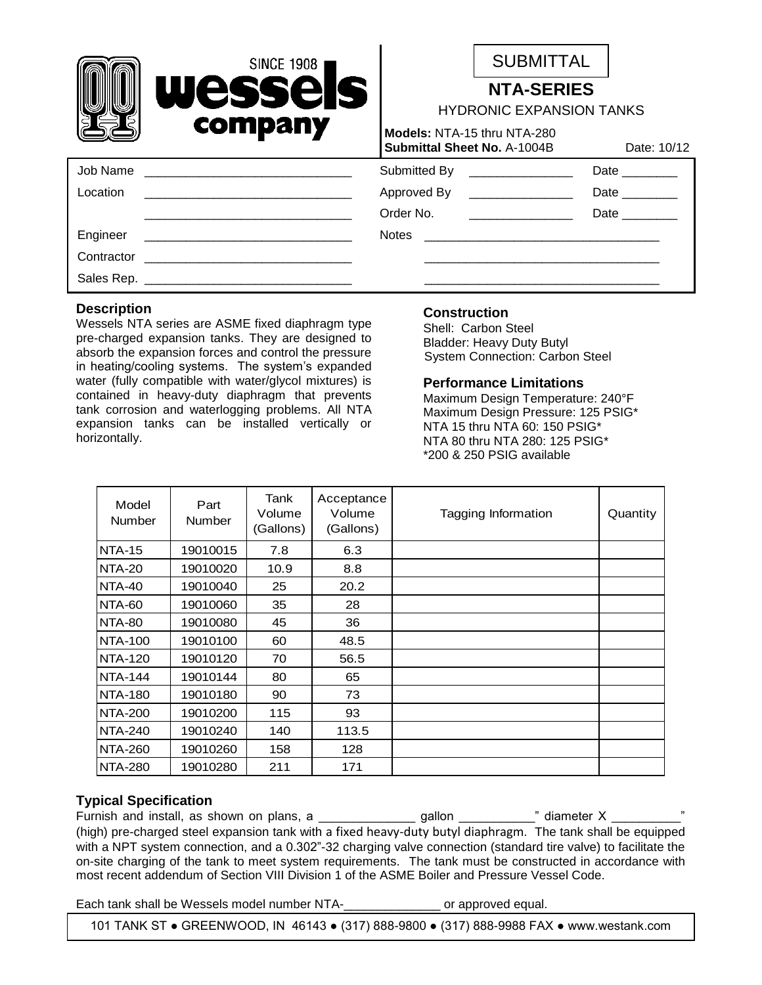|          | <b>SINCE 1908</b><br>Wessels<br>company                                                                               |                                                                   | <b>SUBMITTAL</b>              |                  |  |
|----------|-----------------------------------------------------------------------------------------------------------------------|-------------------------------------------------------------------|-------------------------------|------------------|--|
|          |                                                                                                                       | <b>NTA-SERIES</b><br><b>HYDRONIC EXPANSION TANKS</b>              |                               |                  |  |
|          |                                                                                                                       | Models: NTA-15 thru NTA-280<br><b>Submittal Sheet No. A-1004B</b> | Date: 10/12                   |                  |  |
|          |                                                                                                                       |                                                                   | Submitted By ________________ | Date ________    |  |
| Location |                                                                                                                       |                                                                   | Approved By ________________  | Date             |  |
|          |                                                                                                                       | Order No.                                                         |                               | <b>Date Date</b> |  |
| Engineer | <u> 1989 - Johann Harry Harry Harry Harry Harry Harry Harry Harry Harry Harry Harry Harry Harry Harry Harry Harry</u> |                                                                   |                               |                  |  |
|          |                                                                                                                       |                                                                   |                               |                  |  |
|          |                                                                                                                       |                                                                   |                               |                  |  |
|          |                                                                                                                       |                                                                   |                               |                  |  |

 $\mathbf{r}$ 

#### **Description**

Wessels NTA series are ASME fixed diaphragm type pre-charged expansion tanks. They are designed to absorb the expansion forces and control the pressure in heating/cooling systems. The system's expanded water (fully compatible with water/glycol mixtures) is contained in heavy-duty diaphragm that prevents tank corrosion and waterlogging problems. All NTA expansion tanks can be installed vertically or horizontally.

### **Construction**

Shell: Carbon Steel Bladder: Heavy Duty Butyl System Connection: Carbon Steel

### **Performance Limitations**

Maximum Design Temperature: 240°F Maximum Design Pressure: 125 PSIG\* NTA 15 thru NTA 60: 150 PSIG\* NTA 80 thru NTA 280: 125 PSIG\* \*200 & 250 PSIG available

| Model<br><b>Number</b> | Part<br><b>Number</b> | Tank<br>Volume<br>(Gallons) | Acceptance<br>Volume<br>(Gallons) | Tagging Information | Quantity |
|------------------------|-----------------------|-----------------------------|-----------------------------------|---------------------|----------|
| <b>NTA-15</b>          | 19010015              | 7.8                         | 6.3                               |                     |          |
| <b>NTA-20</b>          | 19010020              | 10.9                        | 8.8                               |                     |          |
| <b>NTA-40</b>          | 19010040              | 25                          | 20.2                              |                     |          |
| NTA-60                 | 19010060              | 35                          | 28                                |                     |          |
| <b>NTA-80</b>          | 19010080              | 45                          | 36                                |                     |          |
| <b>NTA-100</b>         | 19010100              | 60                          | 48.5                              |                     |          |
| <b>NTA-120</b>         | 19010120              | 70                          | 56.5                              |                     |          |
| <b>NTA-144</b>         | 19010144              | 80                          | 65                                |                     |          |
| <b>NTA-180</b>         | 19010180              | 90                          | 73                                |                     |          |
| <b>NTA-200</b>         | 19010200              | 115                         | 93                                |                     |          |
| <b>NTA-240</b>         | 19010240              | 140                         | 113.5                             |                     |          |
| <b>NTA-260</b>         | 19010260              | 158                         | 128                               |                     |          |
| <b>NTA-280</b>         | 19010280              | 211                         | 171                               |                     |          |

## **Typical Specification**

Furnish and install, as shown on plans, a \_\_\_\_\_\_\_\_\_\_\_\_\_\_ gallon \_\_\_\_\_\_\_\_\_\_\_" diameter X \_\_\_\_\_\_\_\_\_\_" (high) pre-charged steel expansion tank with a fixed heavy-duty butyl diaphragm. The tank shall be equipped with a NPT system connection, and a 0.302"-32 charging valve connection (standard tire valve) to facilitate the on-site charging of the tank to meet system requirements. The tank must be constructed in accordance with most recent addendum of Section VIII Division 1 of the ASME Boiler and Pressure Vessel Code.

Each tank shall be Wessels model number NTA- The contract or approved equal.

101 TANK ST ● GREENWOOD, IN 46143 ● (317) 888-9800 ● (317) 888-9988 FAX ● www.westank.com